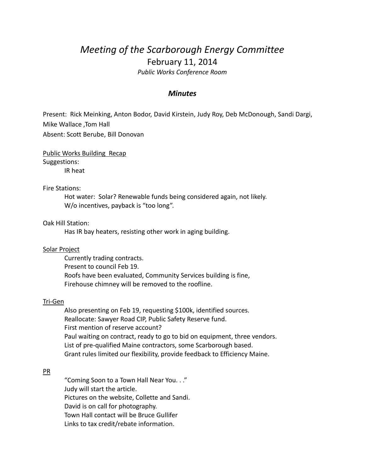# *Meeting of the Scarborough Energy Committee* February 11, 2014

*Public Works Conference Room*

## *Minutes*

Present: Rick Meinking, Anton Bodor, David Kirstein, Judy Roy, Deb McDonough, Sandi Dargi, Mike Wallace ,Tom Hall Absent: Scott Berube, Bill Donovan

Public Works Building Recap Suggestions:

IR heat

#### Fire Stations:

Hot water: Solar? Renewable funds being considered again, not likely. W/o incentives, payback is "too long".

#### Oak Hill Station:

Has IR bay heaters, resisting other work in aging building.

#### Solar Project

Currently trading contracts. Present to council Feb 19. Roofs have been evaluated, Community Services building is fine, Firehouse chimney will be removed to the roofline.

#### Tri-Gen

Also presenting on Feb 19, requesting \$100k, identified sources. Reallocate: Sawyer Road CIP, Public Safety Reserve fund. First mention of reserve account? Paul waiting on contract, ready to go to bid on equipment, three vendors. List of pre-qualified Maine contractors, some Scarborough based. Grant rules limited our flexibility, provide feedback to Efficiency Maine.

### PR

"Coming Soon to a Town Hall Near You. . ." Judy will start the article. Pictures on the website, Collette and Sandi. David is on call for photography. Town Hall contact will be Bruce Gullifer Links to tax credit/rebate information.